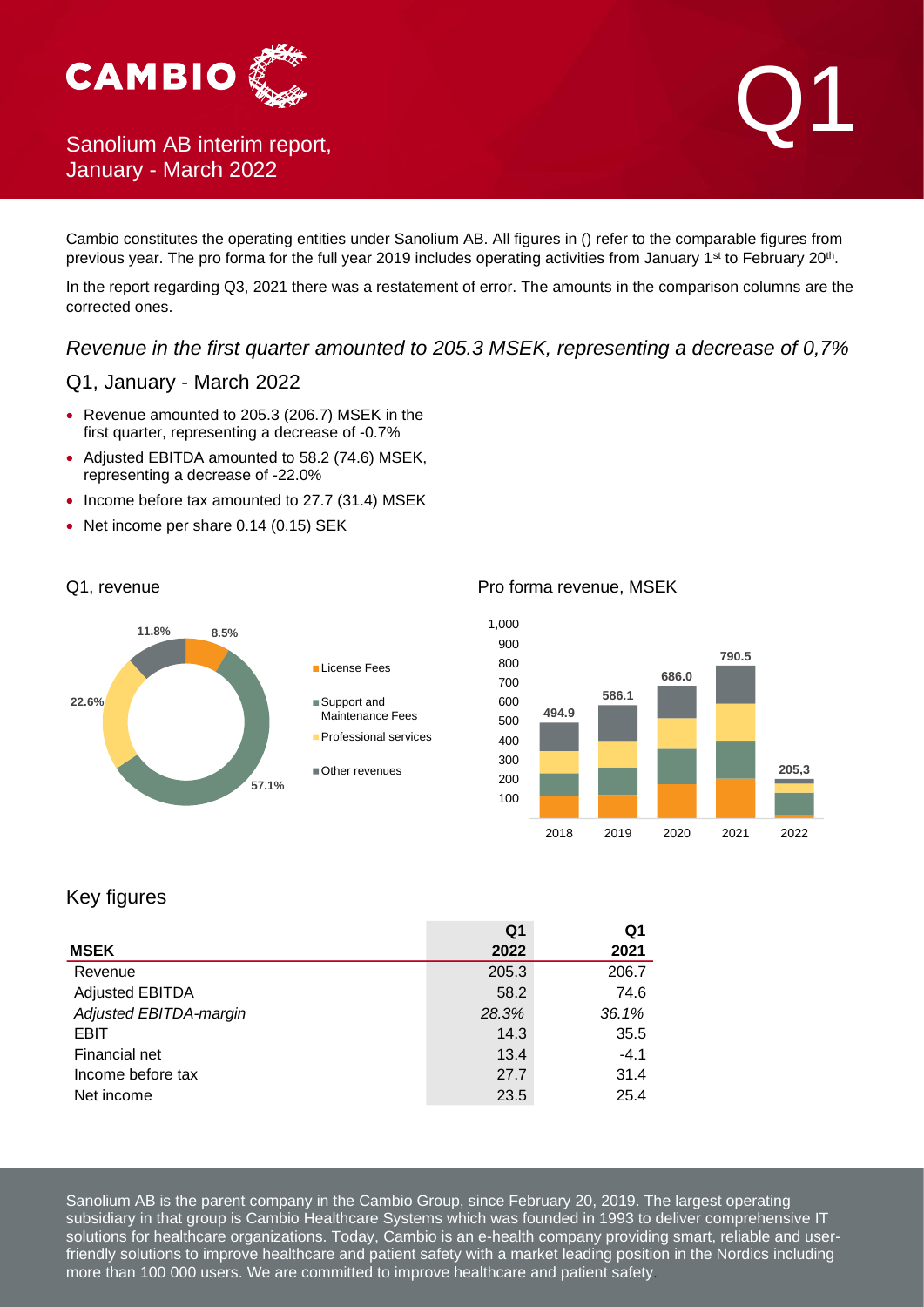

# January - March 2022

Cambio constitutes the operating entities under Sanolium AB. All figures in () refer to the comparable figures from previous year. The pro forma for the full year 2019 includes operating activities from January 1<sup>st</sup> to February 20<sup>th</sup>.

In the report regarding Q3, 2021 there was a restatement of error. The amounts in the comparison columns are the corrected ones.

*Revenue in the first quarter amounted to 205.3 MSEK, representing a decrease of 0,7%*

### Q1, January - March 2022

- Revenue amounted to 205.3 (206.7) MSEK in the first quarter, representing a decrease of -0.7%
- Adjusted EBITDA amounted to 58.2 (74.6) MSEK, representing a decrease of -22.0%
- Income before tax amounted to 27.7 (31.4) MSEK
- Net income per share 0.14 (0.15) SEK



#### Q1, revenue **Pro forma revenue, MSEK**



### Key figures

|                        | Q1    | Q1     |
|------------------------|-------|--------|
| <b>MSEK</b>            | 2022  | 2021   |
| Revenue                | 205.3 | 206.7  |
| <b>Adjusted EBITDA</b> | 58.2  | 74.6   |
| Adjusted EBITDA-margin | 28.3% | 36.1%  |
| <b>EBIT</b>            | 14.3  | 35.5   |
| Financial net          | 13.4  | $-4.1$ |
| Income before tax      | 27.7  | 31.4   |
| Net income             | 23.5  | 25.4   |

Sanolium AB is the parent company in the Cambio Group, since February 20, 2019. The largest operating subsidiary in that group is Cambio Healthcare Systems which was founded in 1993 to deliver comprehensive IT solutions for healthcare organizations. Today, Cambio is an e-health company providing smart, reliable and userfriendly solutions to improve healthcare and patient safety with a market leading position in the Nordics including more than 100 000 users. We are committed to improve healthcare and patient safety.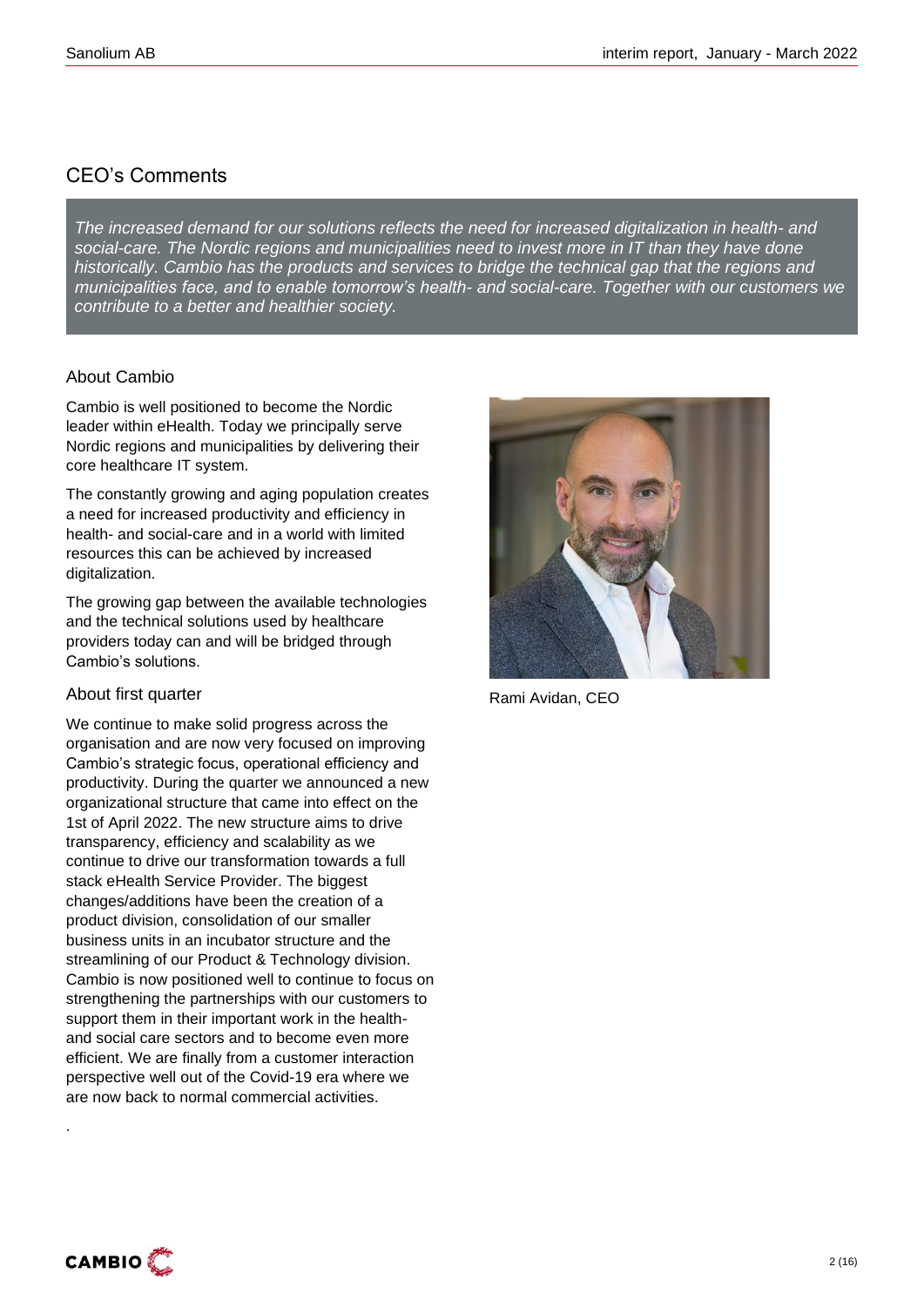### CEO's Comments

*The increased demand for our solutions reflects the need for increased digitalization in health- and social-care. The Nordic regions and municipalities need to invest more in IT than they have done historically. Cambio has the products and services to bridge the technical gap that the regions and municipalities face, and to enable tomorrow's health- and social-care. Together with our customers we contribute to a better and healthier society.*

### About Cambio

Cambio is well positioned to become the Nordic leader within eHealth. Today we principally serve Nordic regions and municipalities by delivering their core healthcare IT system.

The constantly growing and aging population creates a need for increased productivity and efficiency in health- and social-care and in a world with limited resources this can be achieved by increased digitalization.

The growing gap between the available technologies and the technical solutions used by healthcare providers today can and will be bridged through Cambio's solutions.

### About first quarter

We continue to make solid progress across the organisation and are now very focused on improving Cambio's strategic focus, operational efficiency and productivity. During the quarter we announced a new organizational structure that came into effect on the 1st of April 2022. The new structure aims to drive transparency, efficiency and scalability as we continue to drive our transformation towards a full stack eHealth Service Provider. The biggest changes/additions have been the creation of a product division, consolidation of our smaller business units in an incubator structure and the streamlining of our Product & Technology division. Cambio is now positioned well to continue to focus on strengthening the partnerships with our customers to support them in their important work in the healthand social care sectors and to become even more efficient. We are finally from a customer interaction perspective well out of the Covid-19 era where we are now back to normal commercial activities.



Rami Avidan, CEO



.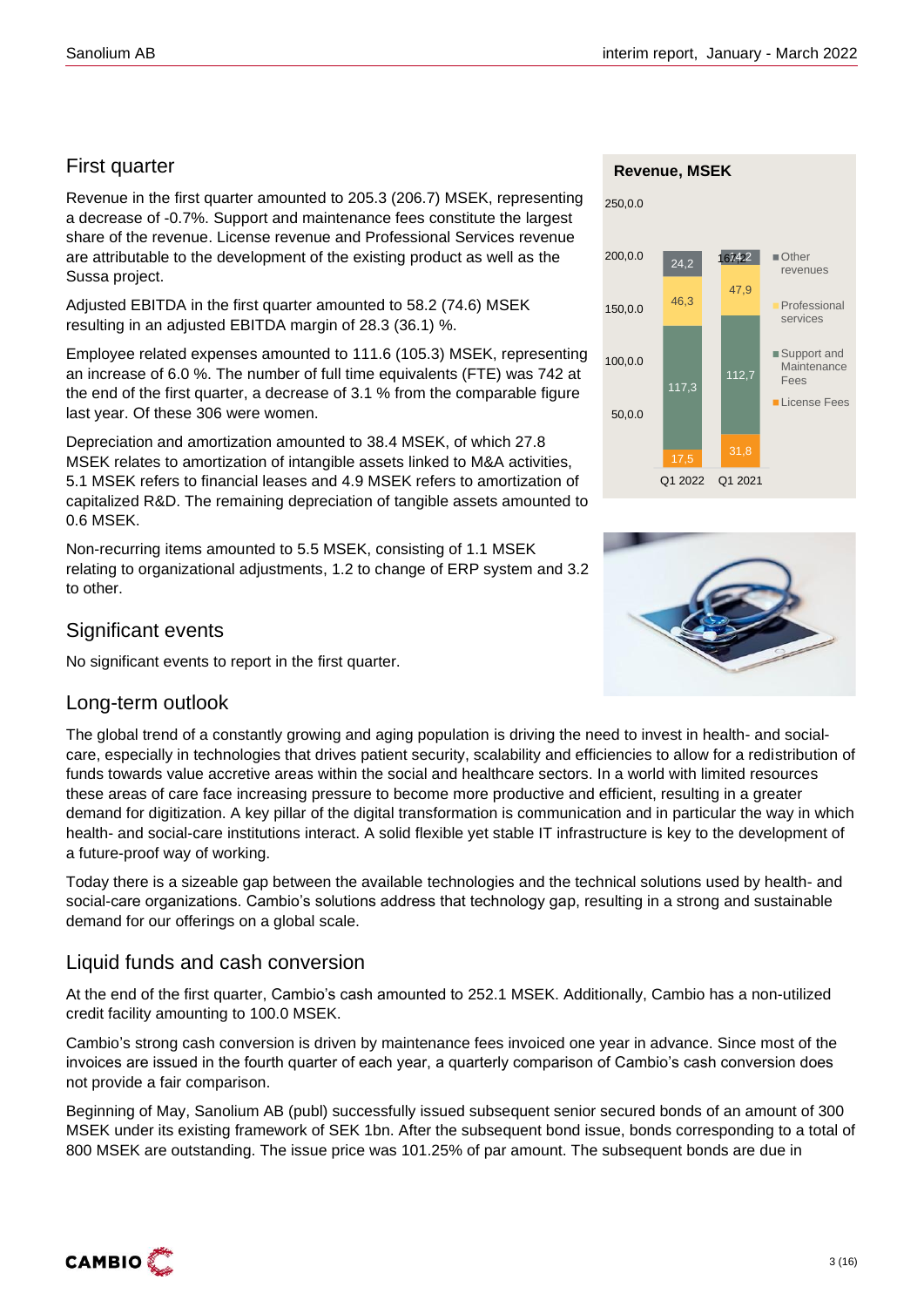### First quarter

Revenue in the first quarter amounted to 205.3 (206.7) MSEK, representing a decrease of -0.7%. Support and maintenance fees constitute the largest share of the revenue. License revenue and Professional Services revenue are attributable to the development of the existing product as well as the Sussa project.

Adjusted EBITDA in the first quarter amounted to 58.2 (74.6) MSEK resulting in an adjusted EBITDA margin of 28.3 (36.1) %.

Employee related expenses amounted to 111.6 (105.3) MSEK, representing an increase of 6.0 %. The number of full time equivalents (FTE) was 742 at the end of the first quarter, a decrease of 3.1 % from the comparable figure last year. Of these 306 were women.

Depreciation and amortization amounted to 38.4 MSEK, of which 27.8 MSEK relates to amortization of intangible assets linked to M&A activities, 5.1 MSEK refers to financial leases and 4.9 MSEK refers to amortization of capitalized R&D. The remaining depreciation of tangible assets amounted to 0.6 MSEK.

Non-recurring items amounted to 5.5 MSEK, consisting of 1.1 MSEK relating to organizational adjustments, 1.2 to change of ERP system and 3.2 to other.

### Significant events

No significant events to report in the first quarter.



The global trend of a constantly growing and aging population is driving the need to invest in health- and socialcare, especially in technologies that drives patient security, scalability and efficiencies to allow for a redistribution of funds towards value accretive areas within the social and healthcare sectors. In a world with limited resources these areas of care face increasing pressure to become more productive and efficient, resulting in a greater demand for digitization. A key pillar of the digital transformation is communication and in particular the way in which health- and social-care institutions interact. A solid flexible yet stable IT infrastructure is key to the development of a future-proof way of working.

Today there is a sizeable gap between the available technologies and the technical solutions used by health- and social-care organizations. Cambio's solutions address that technology gap, resulting in a strong and sustainable demand for our offerings on a global scale.

### Liquid funds and cash conversion

At the end of the first quarter, Cambio's cash amounted to 252.1 MSEK. Additionally, Cambio has a non-utilized credit facility amounting to 100.0 MSEK.

Cambio's strong cash conversion is driven by maintenance fees invoiced one year in advance. Since most of the invoices are issued in the fourth quarter of each year, a quarterly comparison of Cambio's cash conversion does not provide a fair comparison.

Beginning of May, Sanolium AB (publ) successfully issued subsequent senior secured bonds of an amount of 300 MSEK under its existing framework of SEK 1bn. After the subsequent bond issue, bonds corresponding to a total of 800 MSEK are outstanding. The issue price was 101.25% of par amount. The subsequent bonds are due in





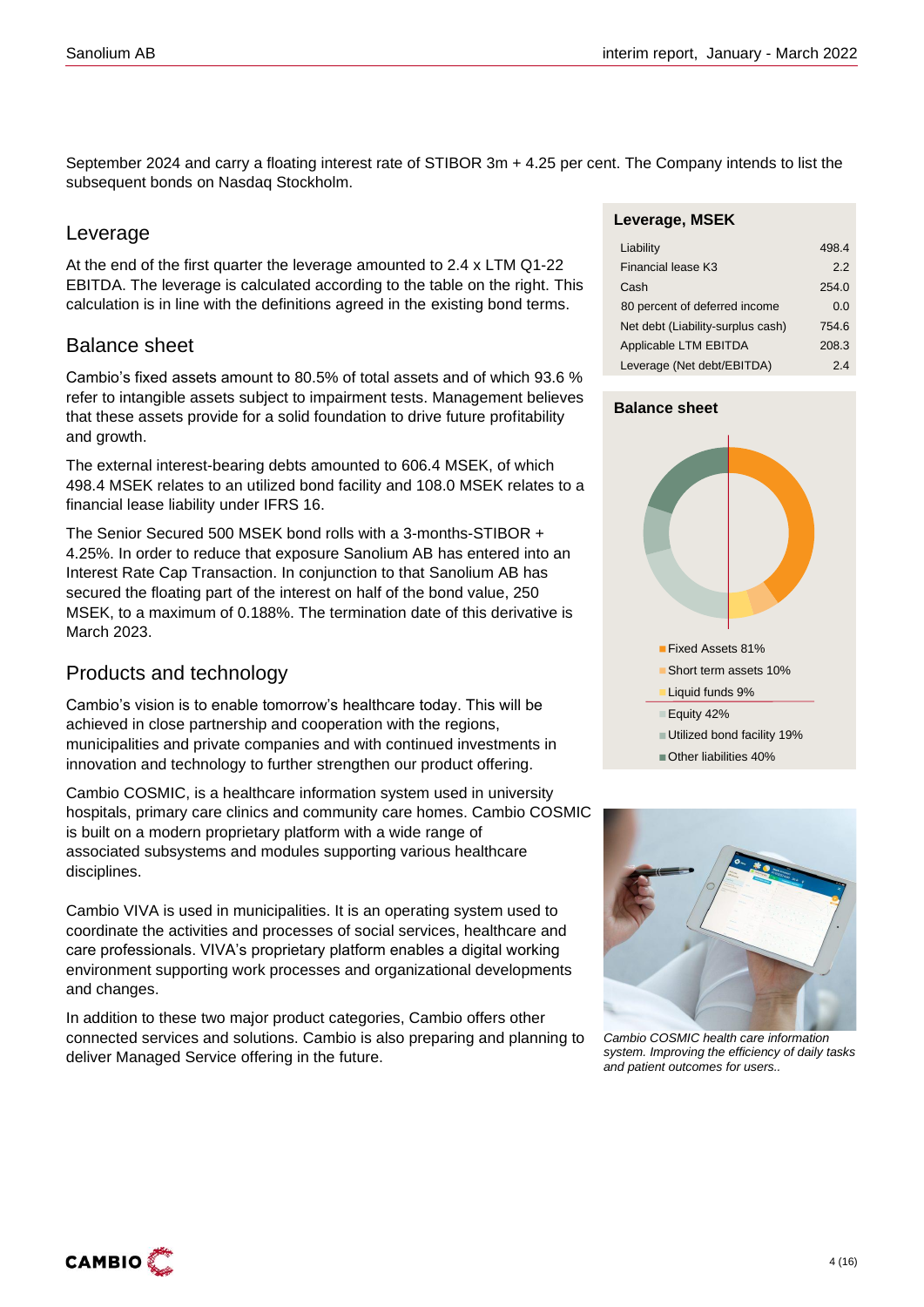September 2024 and carry a floating interest rate of STIBOR 3m + 4.25 per cent. The Company intends to list the subsequent bonds on Nasdaq Stockholm.

### Leverage

At the end of the first quarter the leverage amounted to 2.4 x LTM Q1-22 EBITDA. The leverage is calculated according to the table on the right. This calculation is in line with the definitions agreed in the existing bond terms.

### Balance sheet

Cambio's fixed assets amount to 80.5% of total assets and of which 93.6 % refer to intangible assets subject to impairment tests. Management believes that these assets provide for a solid foundation to drive future profitability and growth.

The external interest-bearing debts amounted to 606.4 MSEK, of which 498.4 MSEK relates to an utilized bond facility and 108.0 MSEK relates to a financial lease liability under IFRS 16.

The Senior Secured 500 MSEK bond rolls with a 3-months-STIBOR + 4.25%. In order to reduce that exposure Sanolium AB has entered into an Interest Rate Cap Transaction. In conjunction to that Sanolium AB has secured the floating part of the interest on half of the bond value, 250 MSEK, to a maximum of 0.188%. The termination date of this derivative is March 2023.

### Products and technology

Cambio's vision is to enable tomorrow's healthcare today. This will be achieved in close partnership and cooperation with the regions, municipalities and private companies and with continued investments in innovation and technology to further strengthen our product offering.

Cambio COSMIC, is a healthcare information system used in university hospitals, primary care clinics and community care homes. Cambio COSMIC is built on a modern proprietary platform with a wide range of associated subsystems and modules supporting various healthcare disciplines.

Cambio VIVA is used in municipalities. It is an operating system used to coordinate the activities and processes of social services, healthcare and care professionals. VIVA's proprietary platform enables a digital working environment supporting work processes and organizational developments and changes.

In addition to these two major product categories, Cambio offers other connected services and solutions. Cambio is also preparing and planning to deliver Managed Service offering in the future.

#### **Leverage, MSEK**

| Liability                         | 498.4 |
|-----------------------------------|-------|
| Financial lease K3                | 2.2   |
| Cash                              | 254.0 |
| 80 percent of deferred income     | 0.O   |
| Net debt (Liability-surplus cash) | 754.6 |
| Applicable LTM EBITDA             | 208.3 |
| Leverage (Net debt/EBITDA)        | 24    |

#### **Balance sheet**





*Cambio COSMIC health care information system. Improving the efficiency of daily tasks and patient outcomes for users..*

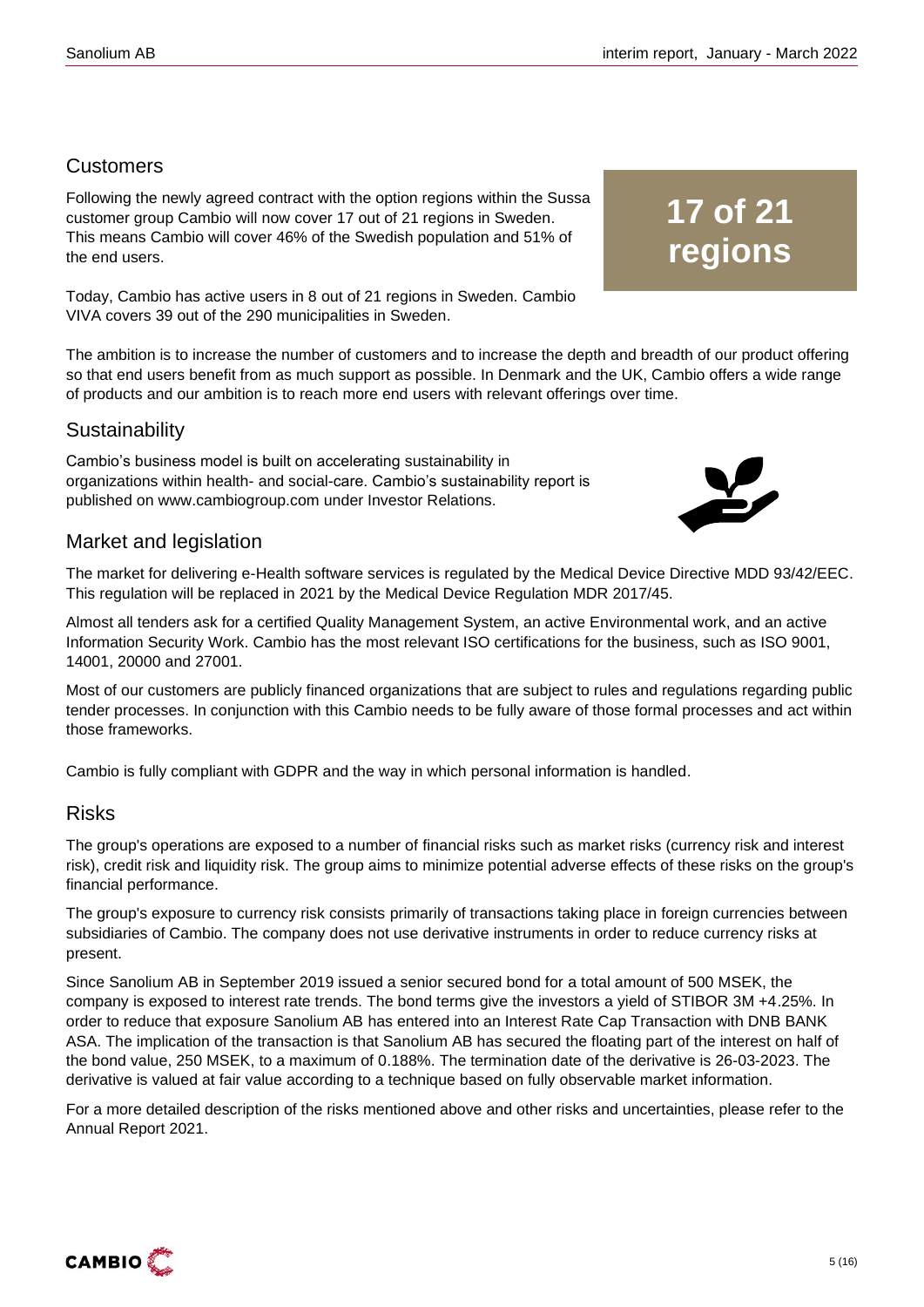### **Customers**

Following the newly agreed contract with the option regions within the Sussa customer group Cambio will now cover 17 out of 21 regions in Sweden. This means Cambio will cover 46% of the Swedish population and 51% of the end users.

Today, Cambio has active users in 8 out of 21 regions in Sweden. Cambio VIVA covers 39 out of the 290 municipalities in Sweden.

The ambition is to increase the number of customers and to increase the depth and breadth of our product offering so that end users benefit from as much support as possible. In Denmark and the UK, Cambio offers a wide range of products and our ambition is to reach more end users with relevant offerings over time.

### **Sustainability**

Cambio's business model is built on accelerating sustainability in organizations within health- and social-care. Cambio's sustainability report is published on www.cambiogroup.com under Investor Relations.

### Market and legislation

The market for delivering e-Health software services is regulated by the Medical Device Directive MDD 93/42/EEC. This regulation will be replaced in 2021 by the Medical Device Regulation MDR 2017/45.

Almost all tenders ask for a certified Quality Management System, an active Environmental work, and an active Information Security Work. Cambio has the most relevant ISO certifications for the business, such as ISO 9001, 14001, 20000 and 27001.

Most of our customers are publicly financed organizations that are subject to rules and regulations regarding public tender processes. In conjunction with this Cambio needs to be fully aware of those formal processes and act within those frameworks.

Cambio is fully compliant with GDPR and the way in which personal information is handled.

### Risks

The group's operations are exposed to a number of financial risks such as market risks (currency risk and interest risk), credit risk and liquidity risk. The group aims to minimize potential adverse effects of these risks on the group's financial performance.

The group's exposure to currency risk consists primarily of transactions taking place in foreign currencies between subsidiaries of Cambio. The company does not use derivative instruments in order to reduce currency risks at present.

Since Sanolium AB in September 2019 issued a senior secured bond for a total amount of 500 MSEK, the company is exposed to interest rate trends. The bond terms give the investors a yield of STIBOR 3M +4.25%. In order to reduce that exposure Sanolium AB has entered into an Interest Rate Cap Transaction with DNB BANK ASA. The implication of the transaction is that Sanolium AB has secured the floating part of the interest on half of the bond value, 250 MSEK, to a maximum of 0.188%. The termination date of the derivative is 26-03-2023. The derivative is valued at fair value according to a technique based on fully observable market information.

For a more detailed description of the risks mentioned above and other risks and uncertainties, please refer to the Annual Report 2021.



## **17 of 21 regions**

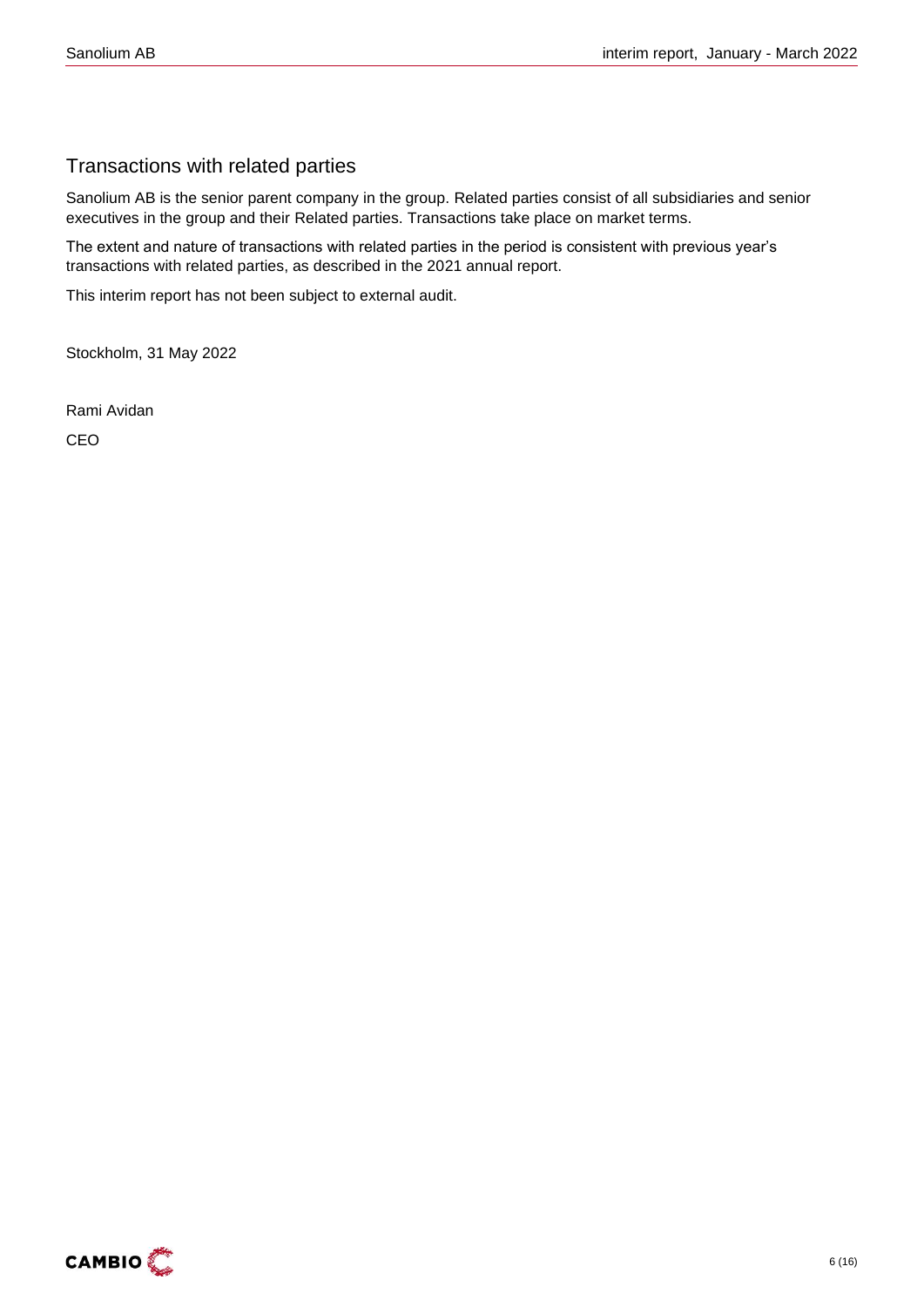### Transactions with related parties

Sanolium AB is the senior parent company in the group. Related parties consist of all subsidiaries and senior executives in the group and their Related parties. Transactions take place on market terms.

The extent and nature of transactions with related parties in the period is consistent with previous year's transactions with related parties, as described in the 2021 annual report.

This interim report has not been subject to external audit.

Stockholm, 31 May 2022

Rami Avidan

CEO

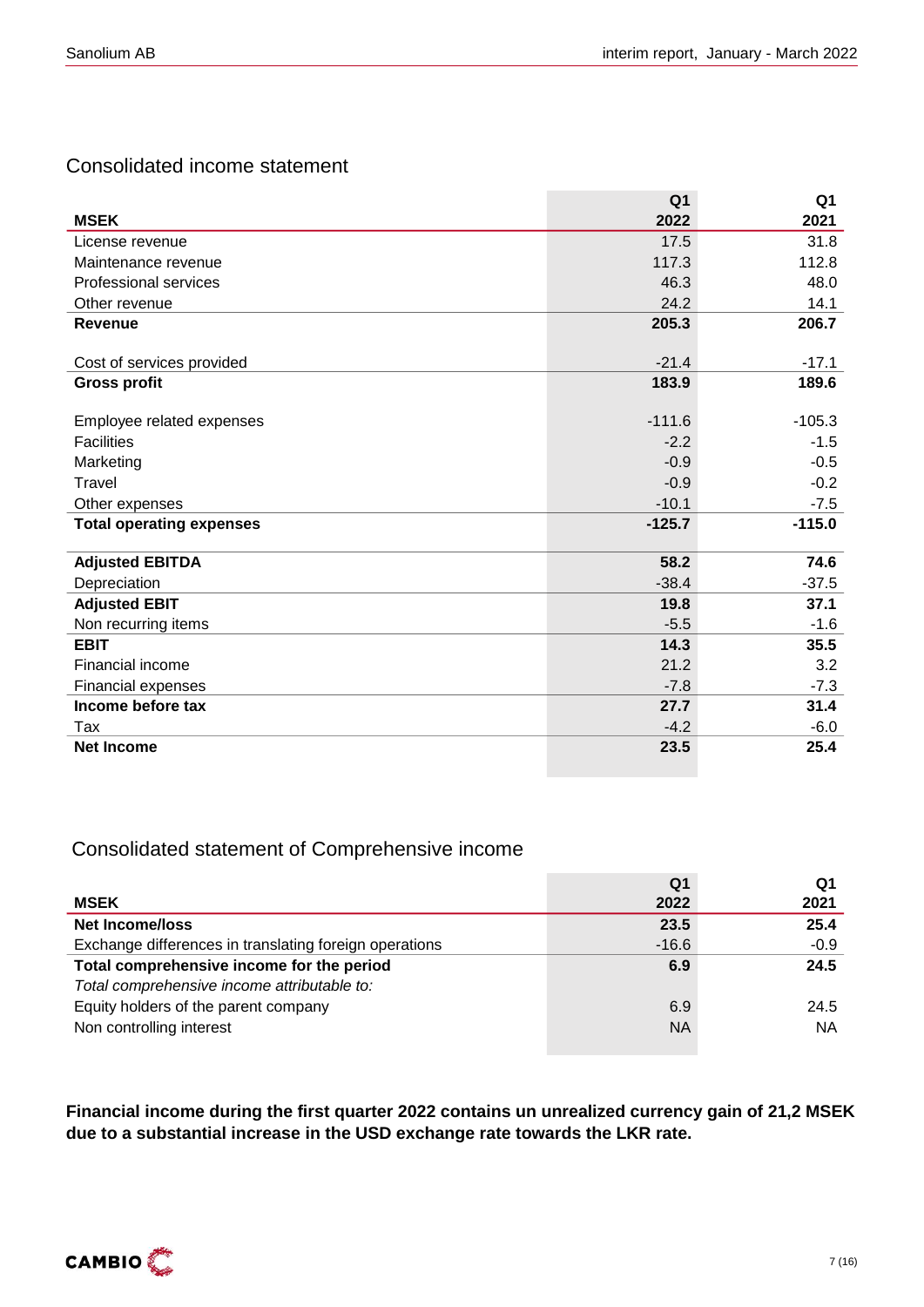### Consolidated income statement

|                                 | Q1       | Q1       |
|---------------------------------|----------|----------|
| <b>MSEK</b>                     | 2022     | 2021     |
| License revenue                 | 17.5     | 31.8     |
| Maintenance revenue             | 117.3    | 112.8    |
| <b>Professional services</b>    | 46.3     | 48.0     |
| Other revenue                   | 24.2     | 14.1     |
| Revenue                         | 205.3    | 206.7    |
|                                 |          |          |
| Cost of services provided       | $-21.4$  | $-17.1$  |
| <b>Gross profit</b>             | 183.9    | 189.6    |
| Employee related expenses       | $-111.6$ | $-105.3$ |
| <b>Facilities</b>               | $-2.2$   | $-1.5$   |
| Marketing                       | $-0.9$   | $-0.5$   |
| Travel                          | $-0.9$   | $-0.2$   |
|                                 |          |          |
| Other expenses                  | $-10.1$  | $-7.5$   |
| <b>Total operating expenses</b> | $-125.7$ | $-115.0$ |
| <b>Adjusted EBITDA</b>          | 58.2     | 74.6     |
| Depreciation                    | $-38.4$  | $-37.5$  |
| <b>Adjusted EBIT</b>            | 19.8     | 37.1     |
| Non recurring items             | $-5.5$   | $-1.6$   |
| <b>EBIT</b>                     | 14.3     | 35.5     |
| Financial income                | 21.2     | 3.2      |
| Financial expenses              | $-7.8$   | $-7.3$   |
| Income before tax               | 27.7     | 31.4     |
| Tax                             | $-4.2$   | $-6.0$   |
| <b>Net Income</b>               | 23.5     | 25.4     |

### Consolidated statement of Comprehensive income

|                                                        | Q <sub>1</sub> | Q1     |
|--------------------------------------------------------|----------------|--------|
| <b>MSEK</b>                                            | 2022           | 2021   |
| <b>Net Income/loss</b>                                 | 23.5           | 25.4   |
| Exchange differences in translating foreign operations | $-16.6$        | $-0.9$ |
| Total comprehensive income for the period              | 6.9            | 24.5   |
| Total comprehensive income attributable to:            |                |        |
| Equity holders of the parent company                   | 6.9            | 24.5   |
| Non controlling interest                               | <b>NA</b>      | NА     |
|                                                        |                |        |

**Financial income during the first quarter 2022 contains un unrealized currency gain of 21,2 MSEK due to a substantial increase in the USD exchange rate towards the LKR rate.**

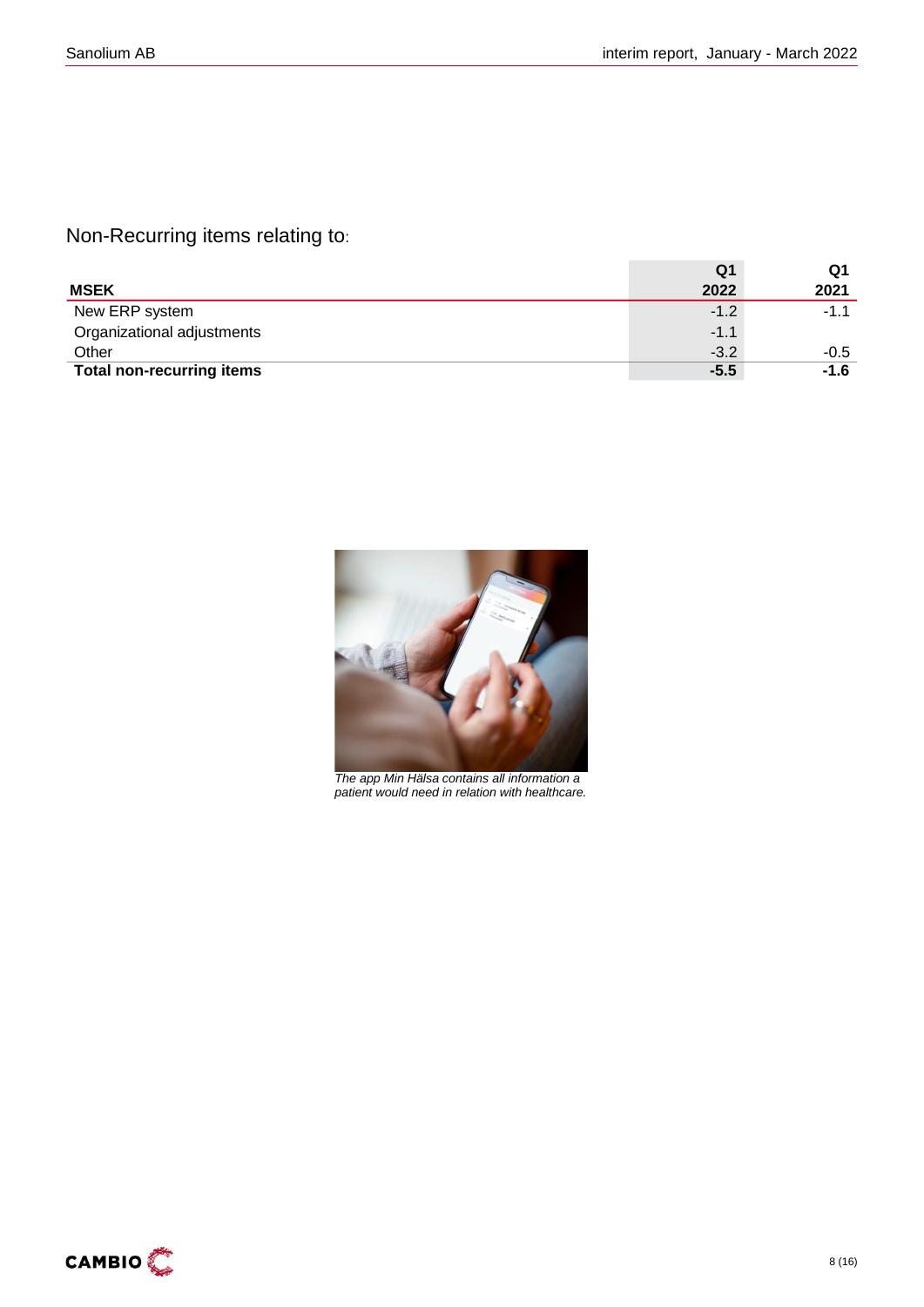Non-Recurring items relating to:

|                                  | Q1     | Q1     |
|----------------------------------|--------|--------|
| <b>MSEK</b>                      | 2022   | 2021   |
| New ERP system                   | $-1.2$ | $-1.1$ |
| Organizational adjustments       | $-1.1$ |        |
| Other                            | $-3.2$ | -0.5   |
| <b>Total non-recurring items</b> | $-5.5$ | $-1.6$ |



*The app Min Hälsa contains all information a patient would need in relation with healthcare.* 

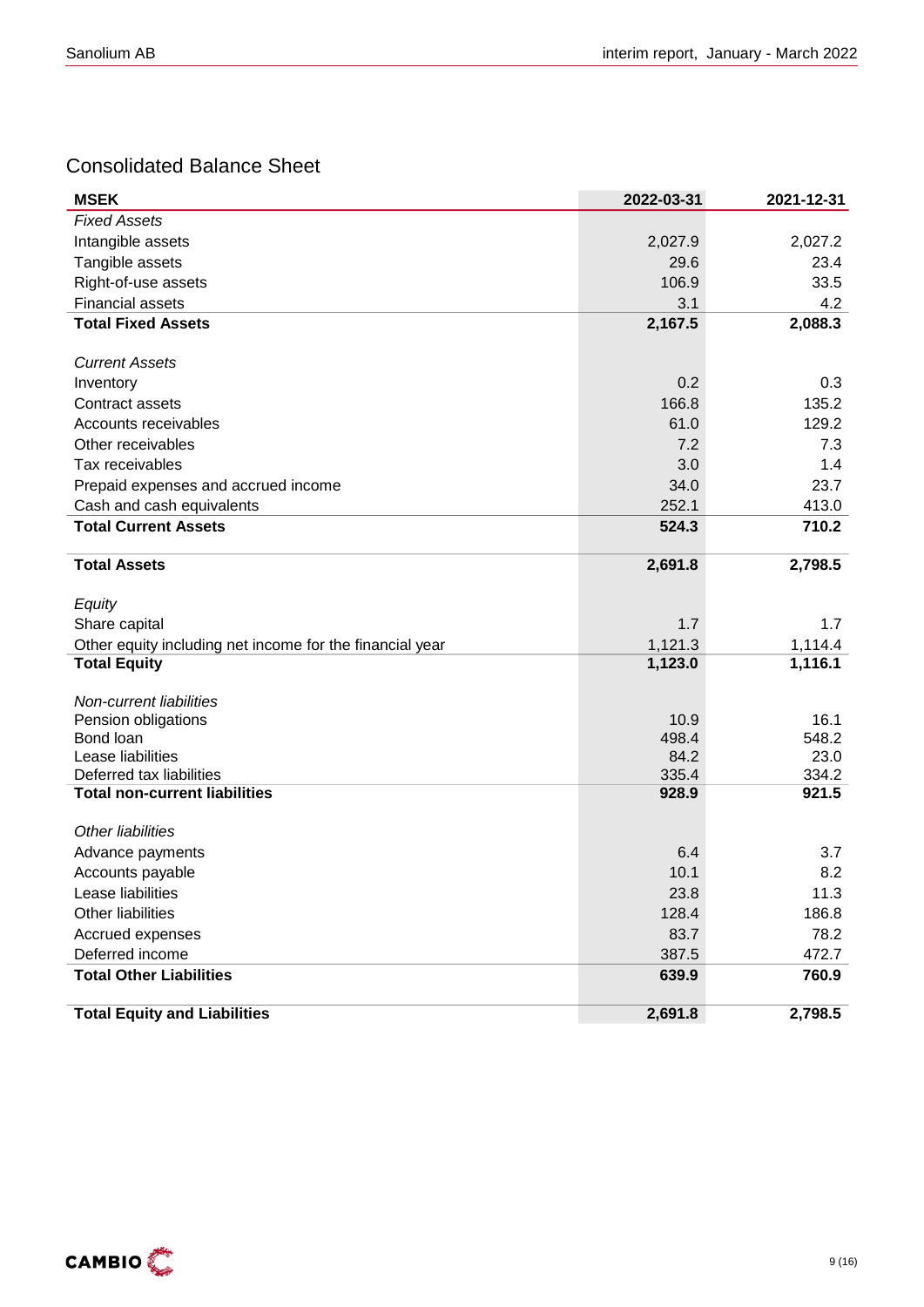### Consolidated Balance Sheet

| <b>MSEK</b>                                              | 2022-03-31    | 2021-12-31    |
|----------------------------------------------------------|---------------|---------------|
| <b>Fixed Assets</b>                                      |               |               |
| Intangible assets                                        | 2,027.9       | 2,027.2       |
| Tangible assets                                          | 29.6          | 23.4          |
| Right-of-use assets                                      | 106.9         | 33.5          |
| <b>Financial assets</b>                                  | 3.1           | 4.2           |
| <b>Total Fixed Assets</b>                                | 2,167.5       | 2,088.3       |
|                                                          |               |               |
| <b>Current Assets</b>                                    |               |               |
| Inventory                                                | 0.2           | 0.3           |
| Contract assets                                          | 166.8         | 135.2         |
| Accounts receivables                                     | 61.0          | 129.2         |
| Other receivables                                        | 7.2           | 7.3           |
| Tax receivables                                          | 3.0           | 1.4           |
| Prepaid expenses and accrued income                      | 34.0          | 23.7          |
| Cash and cash equivalents                                | 252.1         | 413.0         |
| <b>Total Current Assets</b>                              | 524.3         | 710.2         |
| <b>Total Assets</b>                                      | 2,691.8       | 2,798.5       |
|                                                          |               |               |
| Equity                                                   |               |               |
| Share capital                                            | 1.7           | 1.7           |
| Other equity including net income for the financial year | 1,121.3       | 1,114.4       |
| <b>Total Equity</b>                                      | 1,123.0       | 1,116.1       |
|                                                          |               |               |
| Non-current liabilities                                  |               |               |
| Pension obligations<br>Bond loan                         | 10.9<br>498.4 | 16.1<br>548.2 |
| Lease liabilities                                        | 84.2          | 23.0          |
| Deferred tax liabilities                                 | 335.4         | 334.2         |
| <b>Total non-current liabilities</b>                     | 928.9         | 921.5         |
|                                                          |               |               |
| Other liabilities                                        |               |               |
| Advance payments                                         | 6.4           | 3.7           |
| Accounts payable                                         | 10.1          | 8.2           |
| Lease liabilities                                        | 23.8          | 11.3          |
| Other liabilities                                        | 128.4         | 186.8         |
| Accrued expenses                                         | 83.7          | 78.2          |
| Deferred income                                          | 387.5         | 472.7         |
| <b>Total Other Liabilities</b>                           | 639.9         | 760.9         |
| <b>Total Equity and Liabilities</b>                      | 2,691.8       | 2,798.5       |

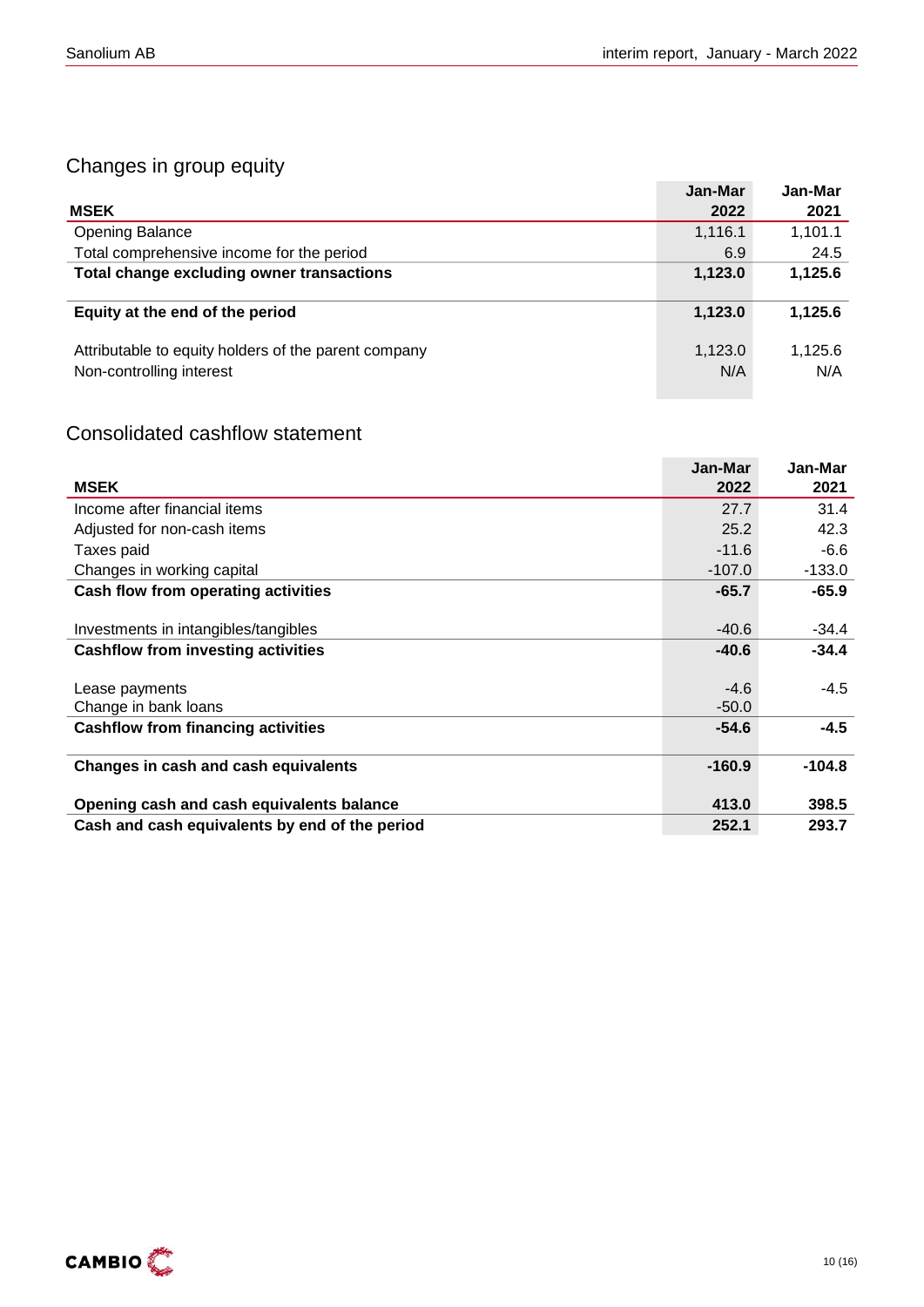### Changes in group equity

|                                                                                  | Jan-Mar        | Jan-Mar        |
|----------------------------------------------------------------------------------|----------------|----------------|
| <b>MSEK</b>                                                                      | 2022           | 2021           |
| <b>Opening Balance</b>                                                           | 1,116.1        | 1,101.1        |
| Total comprehensive income for the period                                        | 6.9            | 24.5           |
| Total change excluding owner transactions                                        | 1,123.0        | 1,125.6        |
| Equity at the end of the period                                                  | 1,123.0        | 1,125.6        |
| Attributable to equity holders of the parent company<br>Non-controlling interest | 1,123.0<br>N/A | 1,125.6<br>N/A |

### Consolidated cashflow statement

|                                                | Jan-Mar  | Jan-Mar  |
|------------------------------------------------|----------|----------|
| <b>MSEK</b>                                    | 2022     | 2021     |
| Income after financial items                   | 27.7     | 31.4     |
| Adjusted for non-cash items                    | 25.2     | 42.3     |
| Taxes paid                                     | $-11.6$  | $-6.6$   |
| Changes in working capital                     | $-107.0$ | $-133.0$ |
| Cash flow from operating activities            | $-65.7$  | $-65.9$  |
|                                                |          |          |
| Investments in intangibles/tangibles           | $-40.6$  | $-34.4$  |
| <b>Cashflow from investing activities</b>      | $-40.6$  | $-34.4$  |
|                                                |          |          |
| Lease payments                                 | $-4.6$   | $-4.5$   |
| Change in bank loans                           | $-50.0$  |          |
| <b>Cashflow from financing activities</b>      | $-54.6$  | $-4.5$   |
|                                                |          |          |
| Changes in cash and cash equivalents           | $-160.9$ | $-104.8$ |
|                                                |          |          |
| Opening cash and cash equivalents balance      | 413.0    | 398.5    |
| Cash and cash equivalents by end of the period | 252.1    | 293.7    |

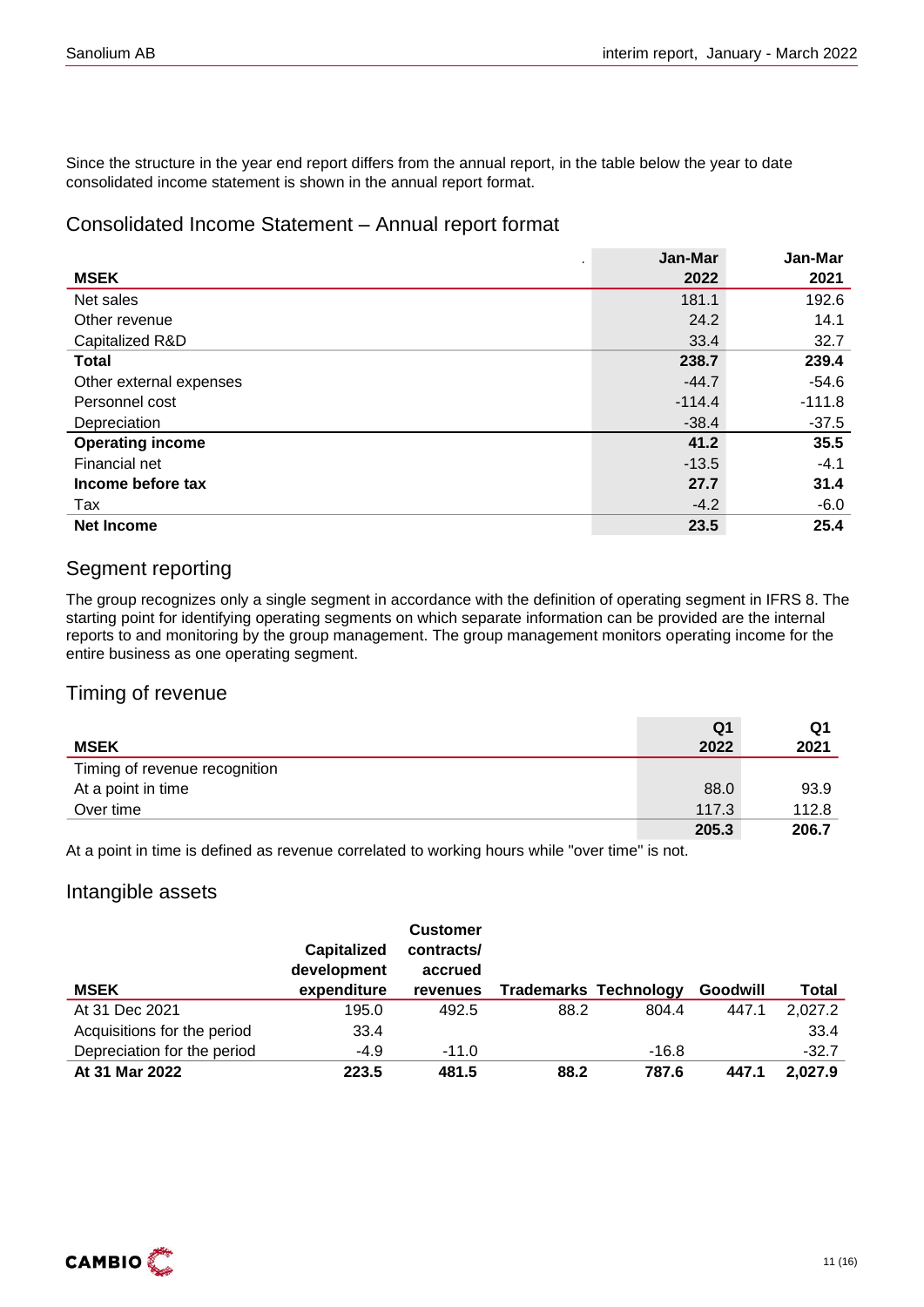Since the structure in the year end report differs from the annual report, in the table below the year to date consolidated income statement is shown in the annual report format.

### Consolidated Income Statement – Annual report format

|                         | Jan-Mar  | Jan-Mar  |
|-------------------------|----------|----------|
| <b>MSEK</b>             | 2022     | 2021     |
| Net sales               | 181.1    | 192.6    |
| Other revenue           | 24.2     | 14.1     |
| Capitalized R&D         | 33.4     | 32.7     |
| <b>Total</b>            | 238.7    | 239.4    |
| Other external expenses | $-44.7$  | $-54.6$  |
| Personnel cost          | $-114.4$ | $-111.8$ |
| Depreciation            | $-38.4$  | $-37.5$  |
| <b>Operating income</b> | 41.2     | 35.5     |
| Financial net           | $-13.5$  | $-4.1$   |
| Income before tax       | 27.7     | 31.4     |
| Tax                     | $-4.2$   | $-6.0$   |
| <b>Net Income</b>       | 23.5     | 25.4     |

### Segment reporting

The group recognizes only a single segment in accordance with the definition of operating segment in IFRS 8. The starting point for identifying operating segments on which separate information can be provided are the internal reports to and monitoring by the group management. The group management monitors operating income for the entire business as one operating segment.

### Timing of revenue

|                               | Q1    | Q1    |
|-------------------------------|-------|-------|
| <b>MSEK</b>                   | 2022  | 2021  |
| Timing of revenue recognition |       |       |
| At a point in time            | 88.0  | 93.9  |
| Over time                     | 117.3 | 112.8 |
|                               | 205.3 | 206.7 |

At a point in time is defined as revenue correlated to working hours while "over time" is not.

### Intangible assets

| <b>MSEK</b>                 | <b>Capitalized</b><br>development<br>expenditure | <b>Customer</b><br>contracts/<br>accrued<br>revenues | <b>Trademarks Technology</b> |         | Goodwill | Total   |
|-----------------------------|--------------------------------------------------|------------------------------------------------------|------------------------------|---------|----------|---------|
| At 31 Dec 2021              | 195.0                                            | 492.5                                                | 88.2                         | 804.4   | 447.1    | 2,027.2 |
| Acquisitions for the period | 33.4                                             |                                                      |                              |         |          | 33.4    |
| Depreciation for the period | $-4.9$                                           | $-11.0$                                              |                              | $-16.8$ |          | $-32.7$ |
| At 31 Mar 2022              | 223.5                                            | 481.5                                                | 88.2                         | 787.6   | 447.1    | 2,027.9 |

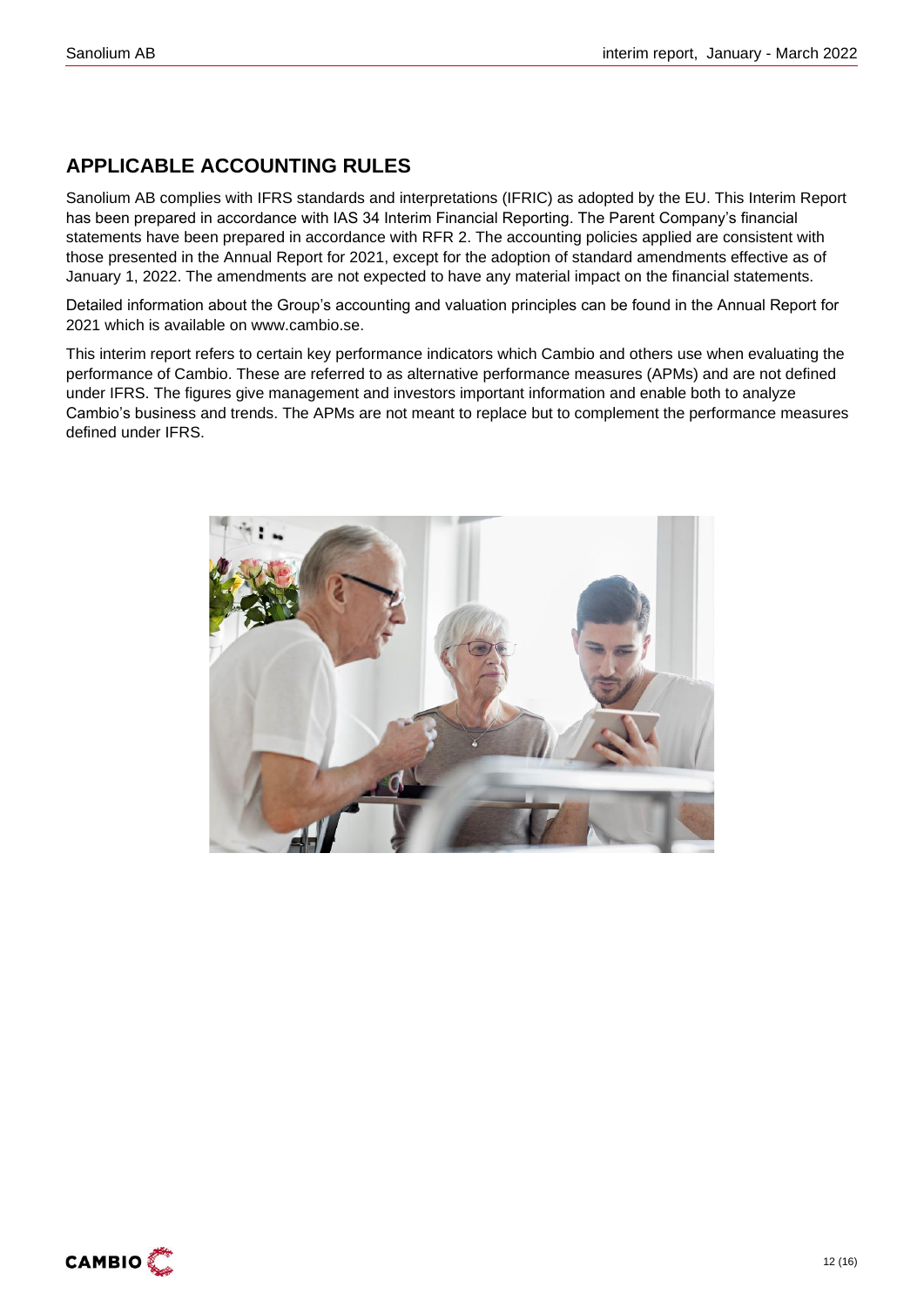### **APPLICABLE ACCOUNTING RULES**

Sanolium AB complies with IFRS standards and interpretations (IFRIC) as adopted by the EU. This Interim Report has been prepared in accordance with IAS 34 Interim Financial Reporting. The Parent Company's financial statements have been prepared in accordance with RFR 2. The accounting policies applied are consistent with those presented in the Annual Report for 2021, except for the adoption of standard amendments effective as of January 1, 2022. The amendments are not expected to have any material impact on the financial statements.

Detailed information about the Group's accounting and valuation principles can be found in the Annual Report for 2021 which is available on www.cambio.se.

This interim report refers to certain key performance indicators which Cambio and others use when evaluating the performance of Cambio. These are referred to as alternative performance measures (APMs) and are not defined under IFRS. The figures give management and investors important information and enable both to analyze Cambio's business and trends. The APMs are not meant to replace but to complement the performance measures defined under IFRS.



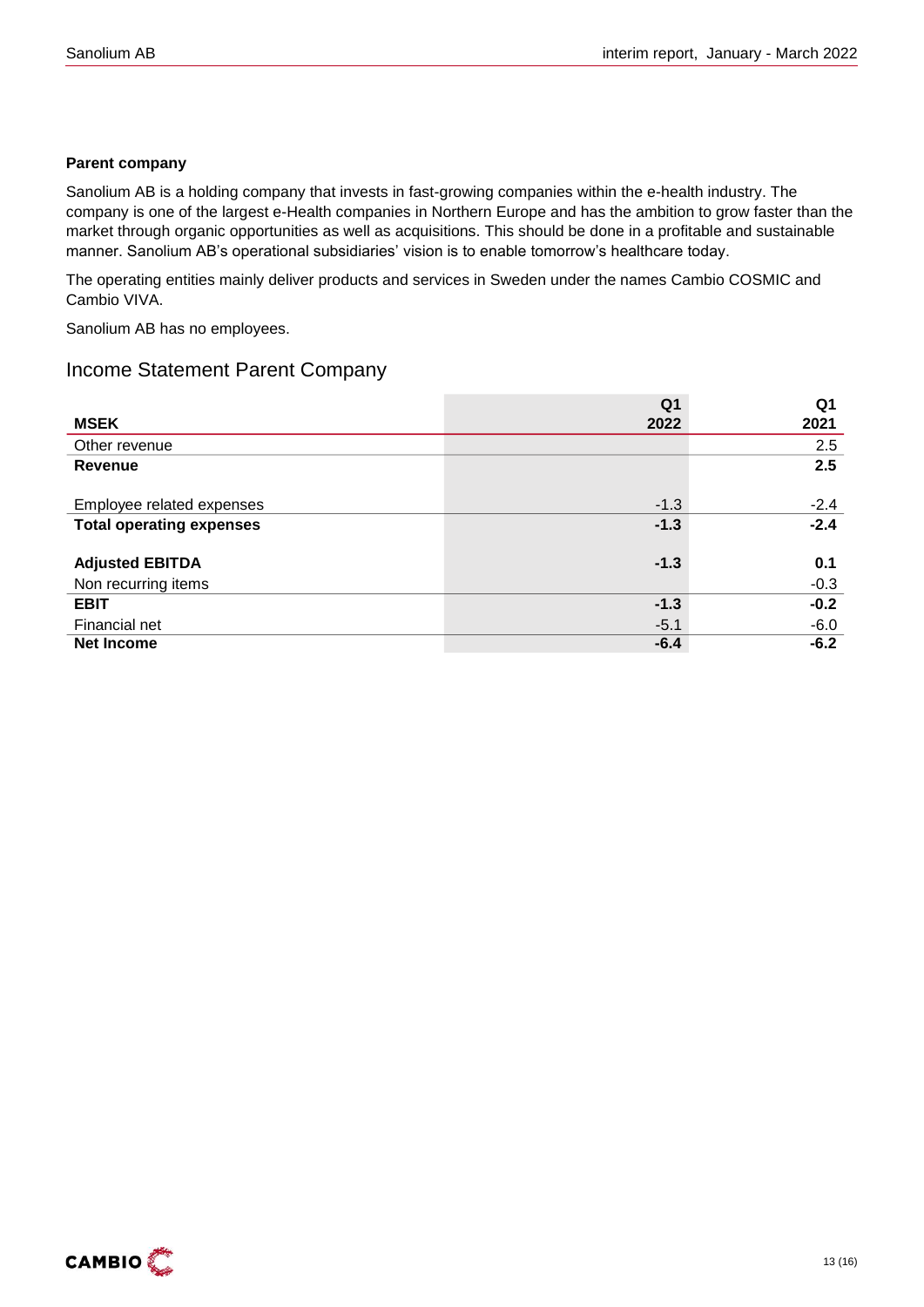### **Parent company**

Sanolium AB is a holding company that invests in fast-growing companies within the e-health industry. The company is one of the largest e-Health companies in Northern Europe and has the ambition to grow faster than the market through organic opportunities as well as acquisitions. This should be done in a profitable and sustainable manner. Sanolium AB's operational subsidiaries' vision is to enable tomorrow's healthcare today.

The operating entities mainly deliver products and services in Sweden under the names Cambio COSMIC and Cambio VIVA.

Sanolium AB has no employees.

### Income Statement Parent Company

|                                 | Q <sub>1</sub> | Q <sub>1</sub> |
|---------------------------------|----------------|----------------|
| <b>MSEK</b>                     | 2022           | 2021           |
| Other revenue                   |                | 2.5            |
| <b>Revenue</b>                  |                | 2.5            |
|                                 |                |                |
| Employee related expenses       | $-1.3$         | $-2.4$         |
| <b>Total operating expenses</b> | $-1.3$         | $-2.4$         |
|                                 |                |                |
| <b>Adjusted EBITDA</b>          | $-1.3$         | 0.1            |
| Non recurring items             |                | $-0.3$         |
| <b>EBIT</b>                     | $-1.3$         | $-0.2$         |
| Financial net                   | $-5.1$         | $-6.0$         |
| <b>Net Income</b>               | $-6.4$         | $-6.2$         |

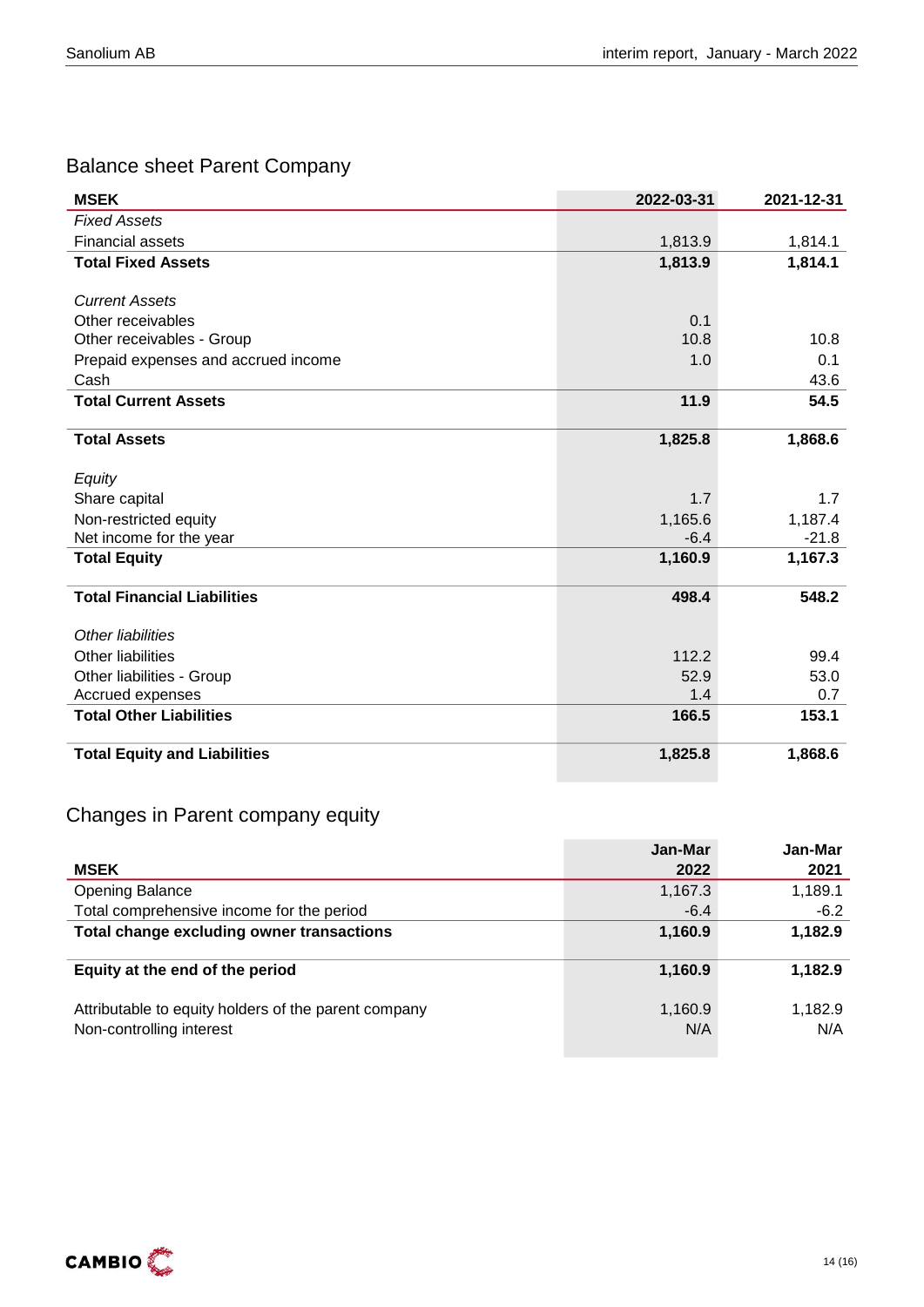### Balance sheet Parent Company

| <b>MSEK</b>                         | 2022-03-31 | 2021-12-31 |
|-------------------------------------|------------|------------|
| <b>Fixed Assets</b>                 |            |            |
| <b>Financial assets</b>             | 1,813.9    | 1,814.1    |
| <b>Total Fixed Assets</b>           | 1,813.9    | 1,814.1    |
|                                     |            |            |
| <b>Current Assets</b>               |            |            |
| Other receivables                   | 0.1        |            |
| Other receivables - Group           | 10.8       | 10.8       |
| Prepaid expenses and accrued income | 1.0        | 0.1        |
| Cash                                |            | 43.6       |
| <b>Total Current Assets</b>         | 11.9       | 54.5       |
|                                     |            |            |
| <b>Total Assets</b>                 | 1,825.8    | 1,868.6    |
|                                     |            |            |
| Equity                              |            |            |
| Share capital                       | 1.7        | 1.7        |
| Non-restricted equity               | 1,165.6    | 1,187.4    |
| Net income for the year             | $-6.4$     | $-21.8$    |
| <b>Total Equity</b>                 | 1,160.9    | 1,167.3    |
|                                     |            |            |
| <b>Total Financial Liabilities</b>  | 498.4      | 548.2      |
| Other liabilities                   |            |            |
| Other liabilities                   | 112.2      | 99.4       |
| Other liabilities - Group           | 52.9       | 53.0       |
| Accrued expenses                    | 1.4        | 0.7        |
| <b>Total Other Liabilities</b>      | 166.5      | 153.1      |
|                                     |            |            |
| <b>Total Equity and Liabilities</b> | 1,825.8    | 1,868.6    |

### Changes in Parent company equity

|                                                                                  | Jan-Mar        | Jan-Mar        |
|----------------------------------------------------------------------------------|----------------|----------------|
| <b>MSEK</b>                                                                      | 2022           | 2021           |
| Opening Balance                                                                  | 1,167.3        | 1,189.1        |
| Total comprehensive income for the period                                        | $-6.4$         | $-6.2$         |
| Total change excluding owner transactions                                        | 1,160.9        | 1,182.9        |
| Equity at the end of the period                                                  | 1,160.9        | 1,182.9        |
| Attributable to equity holders of the parent company<br>Non-controlling interest | 1,160.9<br>N/A | 1,182.9<br>N/A |

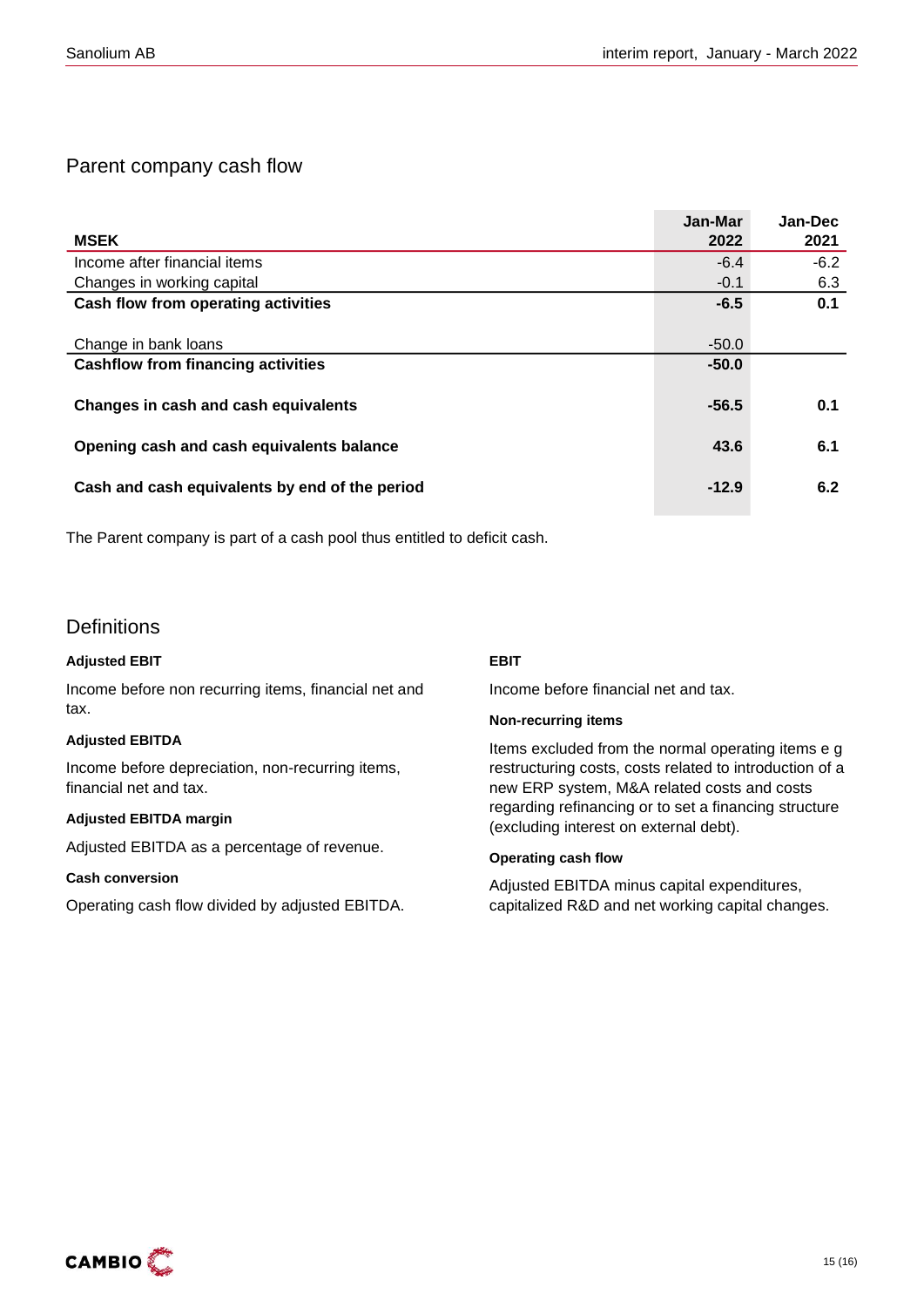### Parent company cash flow

|                                                | Jan-Mar | Jan-Dec |
|------------------------------------------------|---------|---------|
| <b>MSEK</b>                                    | 2022    | 2021    |
| Income after financial items                   | $-6.4$  | $-6.2$  |
| Changes in working capital                     | $-0.1$  | 6.3     |
| Cash flow from operating activities            | $-6.5$  | 0.1     |
|                                                |         |         |
| Change in bank loans                           | $-50.0$ |         |
| <b>Cashflow from financing activities</b>      | $-50.0$ |         |
|                                                |         |         |
| Changes in cash and cash equivalents           | $-56.5$ | 0.1     |
|                                                |         |         |
| Opening cash and cash equivalents balance      | 43.6    | 6.1     |
|                                                |         |         |
| Cash and cash equivalents by end of the period | $-12.9$ | 6.2     |
|                                                |         |         |

The Parent company is part of a cash pool thus entitled to deficit cash.

### **Definitions**

#### **Adjusted EBIT**

Income before non recurring items, financial net and tax.

#### **Adjusted EBITDA**

Income before depreciation, non-recurring items, financial net and tax.

#### **Adjusted EBITDA margin**

Adjusted EBITDA as a percentage of revenue.

#### **Cash conversion**

Operating cash flow divided by adjusted EBITDA.

#### **EBIT**

Income before financial net and tax.

#### **Non-recurring items**

Items excluded from the normal operating items e g restructuring costs, costs related to introduction of a new ERP system, M&A related costs and costs regarding refinancing or to set a financing structure (excluding interest on external debt).

#### **Operating cash flow**

Adjusted EBITDA minus capital expenditures, capitalized R&D and net working capital changes.